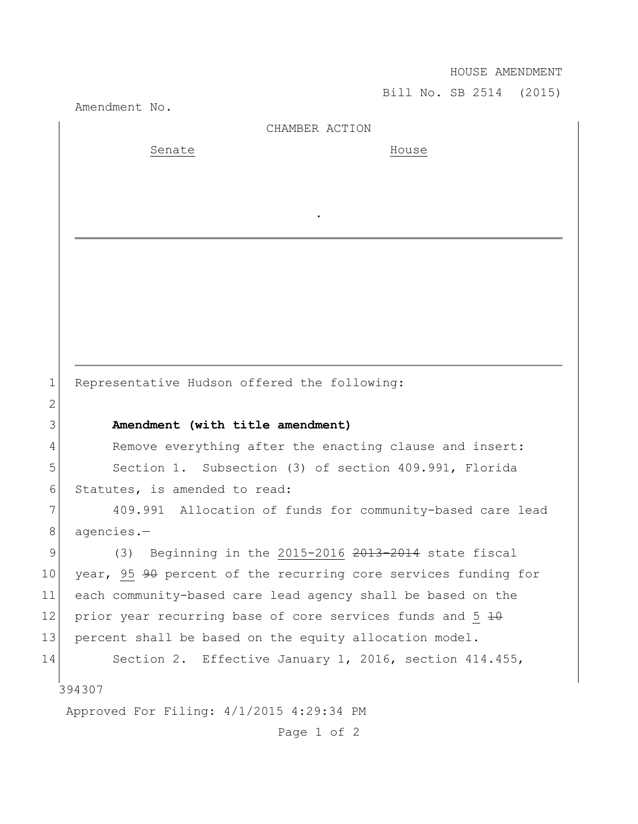HOUSE AMENDMENT

Bill No. SB 2514 (2015)

Amendment No.

|                 | AMendment No.                                                  |
|-----------------|----------------------------------------------------------------|
|                 | CHAMBER ACTION                                                 |
|                 | Senate<br>House                                                |
|                 |                                                                |
|                 |                                                                |
|                 |                                                                |
|                 |                                                                |
|                 |                                                                |
|                 |                                                                |
|                 |                                                                |
|                 |                                                                |
|                 |                                                                |
|                 |                                                                |
| $\mathbf 1$     | Representative Hudson offered the following:                   |
| $\mathbf{2}$    |                                                                |
| 3               | Amendment (with title amendment)                               |
| 4               | Remove everything after the enacting clause and insert:        |
| 5               | Section 1. Subsection (3) of section 409.991, Florida          |
| 6               | Statutes, is amended to read:                                  |
| 7               | 409.991 Allocation of funds for community-based care lead      |
| 8               | agencies.-                                                     |
| 9               | (3) Beginning in the 2015-2016 2013-2014 state fiscal          |
| 10 <sub>o</sub> | year, 95 90 percent of the recurring core services funding for |
| 11              | each community-based care lead agency shall be based on the    |
| 12              | prior year recurring base of core services funds and 5 40      |
| 13              | percent shall be based on the equity allocation model.         |
| 14              | Section 2. Effective January 1, 2016, section 414.455,         |
|                 |                                                                |
|                 | 394307                                                         |
|                 | Approved For Filing: 4/1/2015 4:29:34 PM                       |
|                 | Page 1 of 2                                                    |